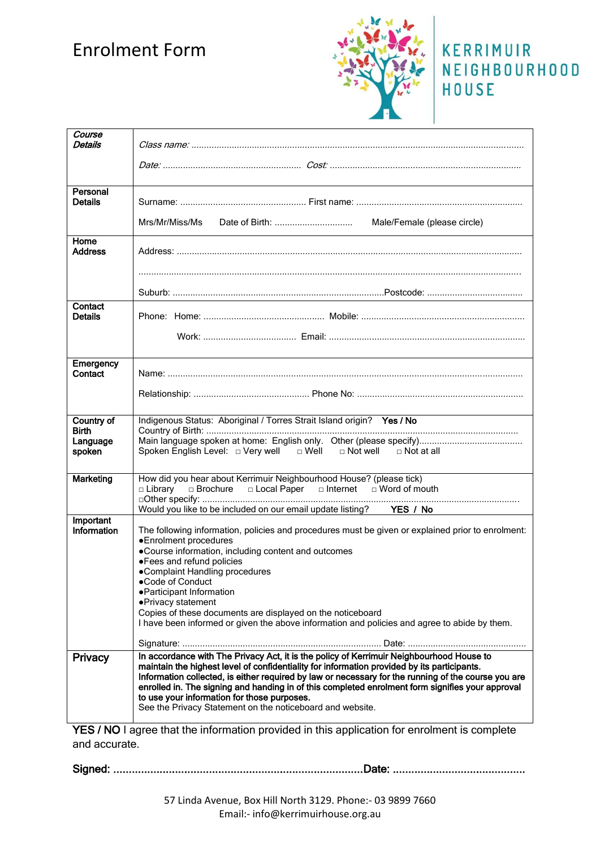# Enrolment Form



### KERRIMUIR NEIGHBOURHOOD HOUSE

| Course<br>Details                                |                                                                                                                                                                                                                                                                                                                                                                                                                                                                                                                |
|--------------------------------------------------|----------------------------------------------------------------------------------------------------------------------------------------------------------------------------------------------------------------------------------------------------------------------------------------------------------------------------------------------------------------------------------------------------------------------------------------------------------------------------------------------------------------|
|                                                  |                                                                                                                                                                                                                                                                                                                                                                                                                                                                                                                |
| Personal<br><b>Details</b>                       |                                                                                                                                                                                                                                                                                                                                                                                                                                                                                                                |
|                                                  | Mrs/Mr/Miss/Ms<br>Male/Female (please circle)                                                                                                                                                                                                                                                                                                                                                                                                                                                                  |
| Home<br><b>Address</b>                           |                                                                                                                                                                                                                                                                                                                                                                                                                                                                                                                |
|                                                  |                                                                                                                                                                                                                                                                                                                                                                                                                                                                                                                |
| Contact<br><b>Details</b>                        |                                                                                                                                                                                                                                                                                                                                                                                                                                                                                                                |
|                                                  |                                                                                                                                                                                                                                                                                                                                                                                                                                                                                                                |
| Emergency<br>Contact                             |                                                                                                                                                                                                                                                                                                                                                                                                                                                                                                                |
|                                                  |                                                                                                                                                                                                                                                                                                                                                                                                                                                                                                                |
| Country of<br><b>Birth</b><br>Language<br>spoken | Indigenous Status: Aboriginal / Torres Strait Island origin? Yes / No<br>Spoken English Level: $\Box$ Very well $\Box$ Well $\Box$ Not well $\Box$ Not at all                                                                                                                                                                                                                                                                                                                                                  |
| Marketing                                        | How did you hear about Kerrimuir Neighbourhood House? (please tick)<br>□ Library □ Brochure □ Local Paper □ Internet □ Word of mouth                                                                                                                                                                                                                                                                                                                                                                           |
| Important                                        | Would you like to be included on our email update listing? YES / No                                                                                                                                                                                                                                                                                                                                                                                                                                            |
| Information                                      | The following information, policies and procedures must be given or explained prior to enrolment:<br>•Enrolment procedures<br>•Course information, including content and outcomes<br>• Fees and refund policies<br>•Complaint Handling procedures<br>●Code of Conduct<br>• Participant Information<br>·Privacy statement<br>Copies of these documents are displayed on the noticeboard<br>I have been informed or given the above information and policies and agree to abide by them.                         |
|                                                  |                                                                                                                                                                                                                                                                                                                                                                                                                                                                                                                |
| <b>Privacy</b>                                   | In accordance with The Privacy Act, it is the policy of Kerrimuir Neighbourhood House to<br>maintain the highest level of confidentiality for information provided by its participants.<br>Information collected, is either required by law or necessary for the running of the course you are<br>enrolled in. The signing and handing in of this completed enrolment form signifies your approval<br>to use your information for those purposes.<br>See the Privacy Statement on the noticeboard and website. |
|                                                  | <b>YES / NO Lagree that the information provided in this application for enrolment is complete</b>                                                                                                                                                                                                                                                                                                                                                                                                             |

**YES / NO** I agree that the information provided in this application for enrolment is complete and accurate.

Signed: .................................................................................Date: ...........................................